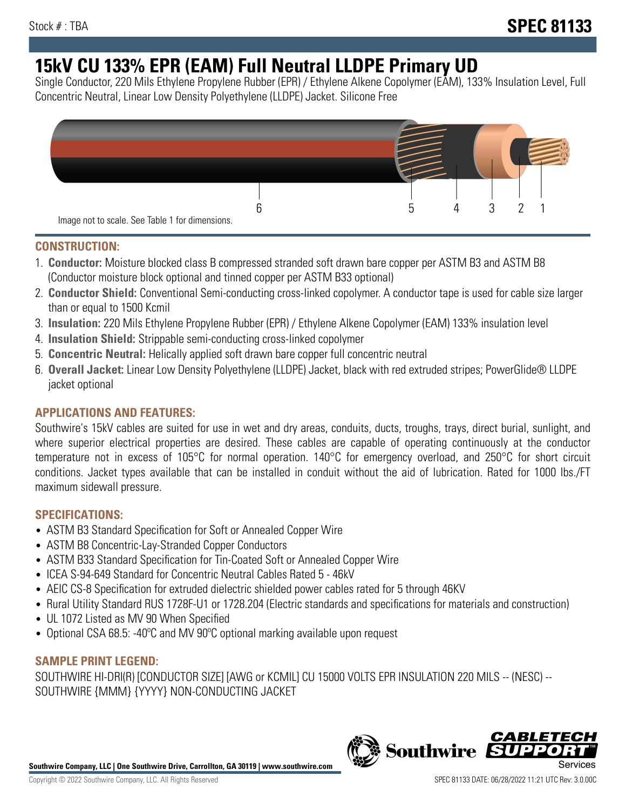# **15kV CU 133% EPR (EAM) Full Neutral LLDPE Primary UD**

Single Conductor, 220 Mils Ethylene Propylene Rubber (EPR) / Ethylene Alkene Copolymer (EAM), 133% Insulation Level, Full Concentric Neutral, Linear Low Density Polyethylene (LLDPE) Jacket. Silicone Free



## **CONSTRUCTION:**

- 1. **Conductor:** Moisture blocked class B compressed stranded soft drawn bare copper per ASTM B3 and ASTM B8 (Conductor moisture block optional and tinned copper per ASTM B33 optional)
- 2. **Conductor Shield:** Conventional Semi-conducting cross-linked copolymer. A conductor tape is used for cable size larger than or equal to 1500 Kcmil
- 3. **Insulation:** 220 Mils Ethylene Propylene Rubber (EPR) / Ethylene Alkene Copolymer (EAM) 133% insulation level
- 4. **Insulation Shield:** Strippable semi-conducting cross-linked copolymer
- 5. **Concentric Neutral:** Helically applied soft drawn bare copper full concentric neutral
- 6. **Overall Jacket:** Linear Low Density Polyethylene (LLDPE) Jacket, black with red extruded stripes; PowerGlide® LLDPE jacket optional

## **APPLICATIONS AND FEATURES:**

Southwire's 15kV cables are suited for use in wet and dry areas, conduits, ducts, troughs, trays, direct burial, sunlight, and where superior electrical properties are desired. These cables are capable of operating continuously at the conductor temperature not in excess of 105°C for normal operation. 140°C for emergency overload, and 250°C for short circuit conditions. Jacket types available that can be installed in conduit without the aid of lubrication. Rated for 1000 lbs./FT maximum sidewall pressure.

## **SPECIFICATIONS:**

- ASTM B3 Standard Specification for Soft or Annealed Copper Wire
- ASTM B8 Concentric-Lay-Stranded Copper Conductors
- ASTM B33 Standard Specification for Tin-Coated Soft or Annealed Copper Wire
- ICEA S-94-649 Standard for Concentric Neutral Cables Rated 5 46kV
- AEIC CS-8 Specification for extruded dielectric shielded power cables rated for 5 through 46KV
- Rural Utility Standard RUS 1728F-U1 or 1728.204 (Electric standards and specifications for materials and construction)
- UL 1072 Listed as MV 90 When Specified
- Optional CSA 68.5: -40ºC and MV 90ºC optional marking available upon request

# **SAMPLE PRINT LEGEND:**

SOUTHWIRE HI-DRI(R) [CONDUCTOR SIZE] [AWG or KCMIL] CU 15000 VOLTS EPR INSULATION 220 MILS -- (NESC) -- SOUTHWIRE {MMM} {YYYY} NON-CONDUCTING JACKET

**Southwire Company, LLC | One Southwire Drive, Carrollton, GA 30119 | www.southwire.com**